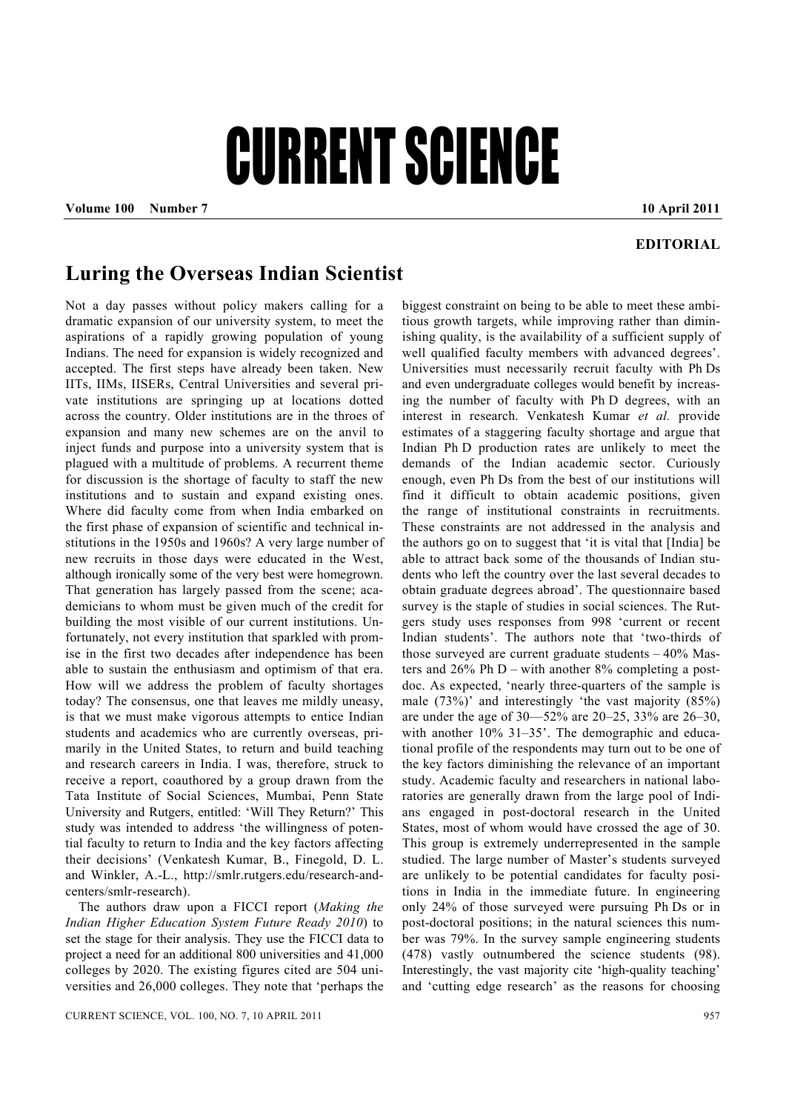## CURRENT SCIENCE

**Volume 100 Number 7 10 April 2011** 

## **EDITORIAL**

## **Luring the Overseas Indian Scientist**

Not a day passes without policy makers calling for a dramatic expansion of our university system, to meet the aspirations of a rapidly growing population of young Indians. The need for expansion is widely recognized and accepted. The first steps have already been taken. New IITs, IIMs, IISERs, Central Universities and several private institutions are springing up at locations dotted across the country. Older institutions are in the throes of expansion and many new schemes are on the anvil to inject funds and purpose into a university system that is plagued with a multitude of problems. A recurrent theme for discussion is the shortage of faculty to staff the new institutions and to sustain and expand existing ones. Where did faculty come from when India embarked on the first phase of expansion of scientific and technical institutions in the 1950s and 1960s? A very large number of new recruits in those days were educated in the West, although ironically some of the very best were homegrown. That generation has largely passed from the scene; academicians to whom must be given much of the credit for building the most visible of our current institutions. Unfortunately, not every institution that sparkled with promise in the first two decades after independence has been able to sustain the enthusiasm and optimism of that era. How will we address the problem of faculty shortages today? The consensus, one that leaves me mildly uneasy, is that we must make vigorous attempts to entice Indian students and academics who are currently overseas, primarily in the United States, to return and build teaching and research careers in India. I was, therefore, struck to receive a report, coauthored by a group drawn from the Tata Institute of Social Sciences, Mumbai, Penn State University and Rutgers, entitled: 'Will They Return?' This study was intended to address 'the willingness of potential faculty to return to India and the key factors affecting their decisions' (Venkatesh Kumar, B., Finegold, D. L. and Winkler, A.-L., http://smlr.rutgers.edu/research-andcenters/smlr-research).

 The authors draw upon a FICCI report (*Making the Indian Higher Education System Future Ready 2010*) to set the stage for their analysis. They use the FICCI data to project a need for an additional 800 universities and 41,000 colleges by 2020. The existing figures cited are 504 universities and 26,000 colleges. They note that 'perhaps the

biggest constraint on being to be able to meet these ambitious growth targets, while improving rather than diminishing quality, is the availability of a sufficient supply of well qualified faculty members with advanced degrees'. Universities must necessarily recruit faculty with Ph Ds and even undergraduate colleges would benefit by increasing the number of faculty with Ph D degrees, with an interest in research. Venkatesh Kumar *et al.* provide estimates of a staggering faculty shortage and argue that Indian Ph D production rates are unlikely to meet the demands of the Indian academic sector. Curiously enough, even Ph Ds from the best of our institutions will find it difficult to obtain academic positions, given the range of institutional constraints in recruitments. These constraints are not addressed in the analysis and the authors go on to suggest that 'it is vital that [India] be able to attract back some of the thousands of Indian students who left the country over the last several decades to obtain graduate degrees abroad'. The questionnaire based survey is the staple of studies in social sciences. The Rutgers study uses responses from 998 'current or recent Indian students'. The authors note that 'two-thirds of those surveyed are current graduate students  $-40\%$  Masters and  $26\%$  Ph D – with another  $8\%$  completing a postdoc. As expected, 'nearly three-quarters of the sample is male (73%)' and interestingly 'the vast majority (85%) are under the age of 30—52% are 20–25, 33% are 26–30, with another  $10\%$  31–35'. The demographic and educational profile of the respondents may turn out to be one of the key factors diminishing the relevance of an important study. Academic faculty and researchers in national laboratories are generally drawn from the large pool of Indians engaged in post-doctoral research in the United States, most of whom would have crossed the age of 30. This group is extremely underrepresented in the sample studied. The large number of Master's students surveyed are unlikely to be potential candidates for faculty positions in India in the immediate future. In engineering only 24% of those surveyed were pursuing Ph Ds or in post-doctoral positions; in the natural sciences this number was 79%. In the survey sample engineering students (478) vastly outnumbered the science students (98). Interestingly, the vast majority cite 'high-quality teaching' and 'cutting edge research' as the reasons for choosing